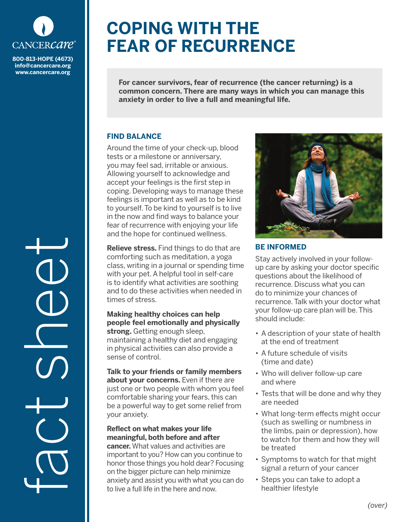

**info@cancercare.org www.cancercare.org**

fact see

# **COPING WITH THE FEAR OF RECURRENCE**

**For cancer survivors, fear of recurrence (the cancer returning) is a common concern. There are many ways in which you can manage this anxiety in order to live a full and meaningful life.**

## **FIND BALANCE**

Around the time of your check-up, blood tests or a milestone or anniversary, you may feel sad, irritable or anxious. Allowing yourself to acknowledge and accept your feelings is the first step in coping. Developing ways to manage these feelings is important as well as to be kind to yourself. To be kind to yourself is to live in the now and find ways to balance your fear of recurrence with enjoying your life and the hope for continued wellness.

**Relieve stress.** Find things to do that are comforting such as meditation, a yoga class, writing in a journal or spending time with your pet. A helpful tool in self-care is to identify what activities are soothing and to do these activities when needed in times of stress.

#### **Making healthy choices can help people feel emotionally and physically strong.** Getting enough sleep, maintaining a healthy diet and engaging in physical activities can also provide a sense of control.

**Talk to your friends or family members about your concerns.** Even if there are just one or two people with whom you feel comfortable sharing your fears, this can be a powerful way to get some relief from your anxiety.

## **Reflect on what makes your life meaningful, both before and after**

**cancer.** What values and activities are important to you? How can you continue to honor those things you hold dear? Focusing on the bigger picture can help minimize anxiety and assist you with what you can do to live a full life in the here and now.



## **BE INFORMED**

Stay actively involved in your followup care by asking your doctor specific questions about the likelihood of recurrence. Discuss what you can do to minimize your chances of recurrence. Talk with your doctor what your follow-up care plan will be. This should include:

- A description of your state of health at the end of treatment
- A future schedule of visits (time and date)
- Who will deliver follow-up care and where
- Tests that will be done and why they are needed
- What long-term effects might occur (such as swelling or numbness in the limbs, pain or depression), how to watch for them and how they will be treated
- Symptoms to watch for that might signal a return of your cancer
- Steps you can take to adopt a healthier lifestyle